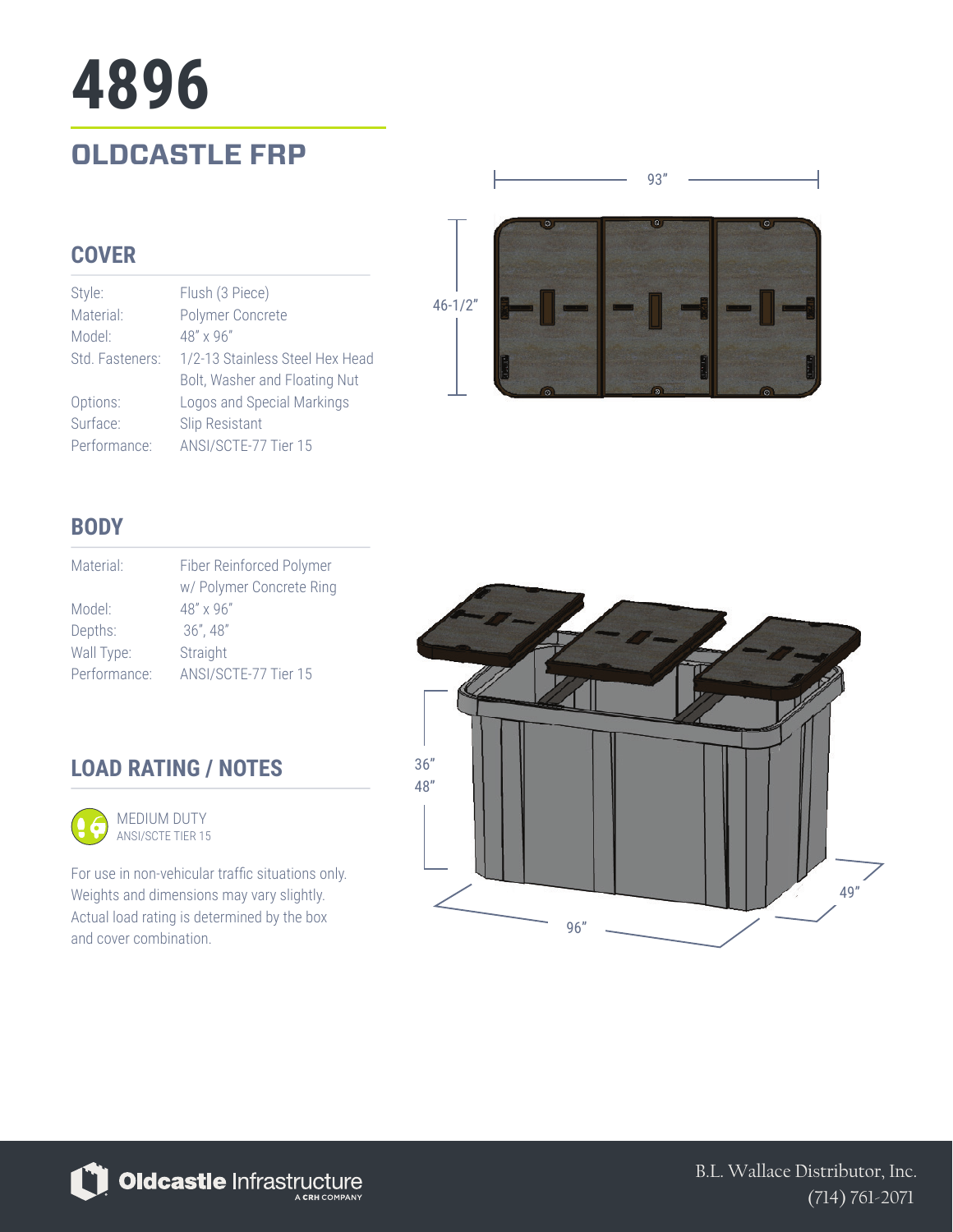## **OLDCASTLE FRP 4896**

### **COVER**

| Style:          | Flush (3 Piece)                 |
|-----------------|---------------------------------|
| Material:       | Polymer Concrete                |
| Model:          | $48'' \times 96''$              |
| Std. Fasteners: | 1/2-13 Stainless Steel Hex Head |
|                 | Bolt, Washer and Floating Nut   |
| Options:        | Logos and Special Markings      |
| Surface:        | Slip Resistant                  |
| Performance:    | ANSI/SCTE-77 Tier 15            |



93"

### **BODY**

| Material:    | Fiber Reinforced Polymer<br>w/ Polymer Concrete Ring |
|--------------|------------------------------------------------------|
| Model:       | $48" \times 96"$                                     |
| Depths:      | $36''$ , 48"                                         |
| Wall Type:   | Straight                                             |
| Performance: | ANSI/SCTE-77 Tier 15                                 |

### **LOAD RATING / NOTES**



For use in non-vehicular traffic situations only. Weights and dimensions may vary slightly. Actual load rating is determined by the box and cover combination.





B.L. Wallace Distributor, Inc. (714) 761-2071